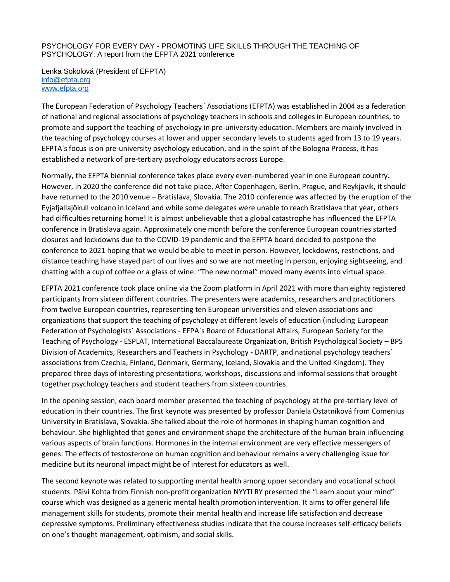## PSYCHOLOGY FOR EVERY DAY - PROMOTING LIFE SKILLS THROUGH THE TEACHING OF PSYCHOLOGY: A report from the EFPTA 2021 conference

Lenka Sokolová (President of EFPTA) [info@efpta.org](mailto:info@efpta.org) [www.efpta.org](http://www.efpta.org/)

The European Federation of Psychology Teachers´ Associations (EFPTA) was established in 2004 as a federation of national and regional associations of psychology teachers in schools and colleges in European countries, to promote and support the teaching of psychology in pre-university education. Members are mainly involved in the teaching of psychology courses at lower and upper secondary levels to students aged from 13 to 19 years. EFPTA's focus is on pre-university psychology education, and in the spirit of the Bologna Process, it has established a network of pre-tertiary psychology educators across Europe.

Normally, the EFPTA biennial conference takes place every even-numbered year in one European country. However, in 2020 the conference did not take place. After Copenhagen, Berlin, Prague, and Reykjavik, it should have returned to the 2010 venue – Bratislava, Slovakia. The 2010 conference was affected by the eruption of the Eyjafjallajökull volcano in Iceland and while some delegates were unable to reach Bratislava that year, others had difficulties returning home! It is almost unbelievable that a global catastrophe has influenced the EFPTA conference in Bratislava again. Approximately one month before the conference European countries started closures and lockdowns due to the COVID-19 pandemic and the EFPTA board decided to postpone the conference to 2021 hoping that we would be able to meet in person. However, lockdowns, restrictions, and distance teaching have stayed part of our lives and so we are not meeting in person, enjoying sightseeing, and chatting with a cup of coffee or a glass of wine. "The new normal" moved many events into virtual space.

EFPTA 2021 conference took place online via the Zoom platform in April 2021 with more than eighty registered participants from sixteen different countries. The presenters were academics, researchers and practitioners from twelve European countries, representing ten European universities and eleven associations and organizations that support the teaching of psychology at different levels of education (including European Federation of Psychologists´ Associations - EFPA´s Board of Educational Affairs, European Society for the Teaching of Psychology - ESPLAT, International Baccalaureate Organization, British Psychological Society – BPS Division of Academics, Researchers and Teachers in Psychology - DARTP, and national psychology teachers´ associations from Czechia, Finland, Denmark, Germany, Iceland, Slovakia and the United Kingdom). They prepared three days of interesting presentations, workshops, discussions and informal sessions that brought together psychology teachers and student teachers from sixteen countries.

In the opening session, each board member presented the teaching of psychology at the pre-tertiary level of education in their countries. The first keynote was presented by professor Daniela Ostatníková from Comenius University in Bratislava, Slovakia. She talked about the role of hormones in shaping human cognition and behaviour. She highlighted that genes and environment shape the architecture of the human brain influencing various aspects of brain functions. Hormones in the internal environment are very effective messengers of genes. The effects of testosterone on human cognition and behaviour remains a very challenging issue for medicine but its neuronal impact might be of interest for educators as well.

The second keynote was related to supporting mental health among upper secondary and vocational school students. Päivi Kohta from Finnish non-profit organization NYYTI RY presented the "Learn about your mind" course which was designed as a generic mental health promotion intervention. It aims to offer general life management skills for students, promote their mental health and increase life satisfaction and decrease depressive symptoms. Preliminary effectiveness studies indicate that the course increases self-efficacy beliefs on one's thought management, optimism, and social skills.